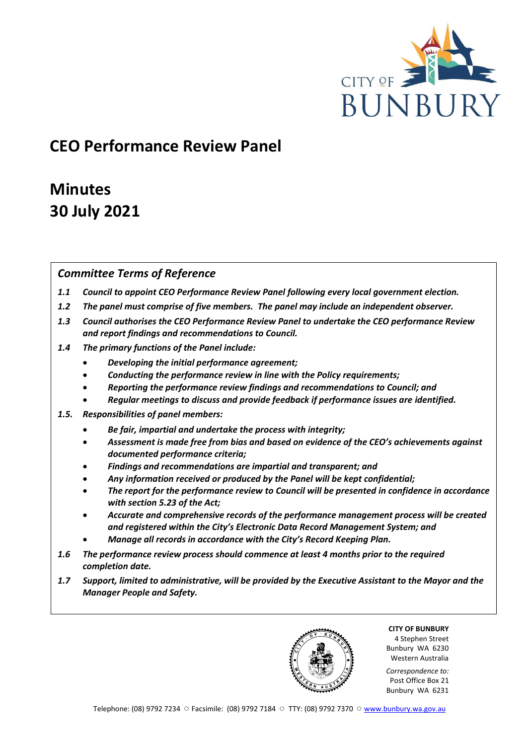

# **CEO Performance Review Panel**

# **Minutes 30 July 2021**

# *Committee Terms of Reference*

- *1.1 Council to appoint CEO Performance Review Panel following every local government election.*
- *1.2 The panel must comprise of five members. The panel may include an independent observer.*
- *1.3 Council authorises the CEO Performance Review Panel to undertake the CEO performance Review and report findings and recommendations to Council.*
- *1.4 The primary functions of the Panel include:*
	- *Developing the initial performance agreement;*
	- *Conducting the performance review in line with the Policy requirements;*
	- *Reporting the performance review findings and recommendations to Council; and*
	- *Regular meetings to discuss and provide feedback if performance issues are identified.*
- *1.5. Responsibilities of panel members:*
	- *Be fair, impartial and undertake the process with integrity;*
	- *Assessment is made free from bias and based on evidence of the CEO's achievements against documented performance criteria;*
	- *Findings and recommendations are impartial and transparent; and*
	- *Any information received or produced by the Panel will be kept confidential;*
	- *The report for the performance review to Council will be presented in confidence in accordance with section 5.23 of the Act;*
	- *Accurate and comprehensive records of the performance management process will be created and registered within the City's Electronic Data Record Management System; and*
	- *Manage all records in accordance with the City's Record Keeping Plan.*
- *1.6 The performance review process should commence at least 4 months prior to the required completion date.*
- *1.7 Support, limited to administrative, will be provided by the Executive Assistant to the Mayor and the Manager People and Safety.*

**CITY OF BUNBURY** 4 Stephen Street Bunbury WA 6230

Western Australia *Correspondence to:* Post Office Box 21

Bunbury WA 6231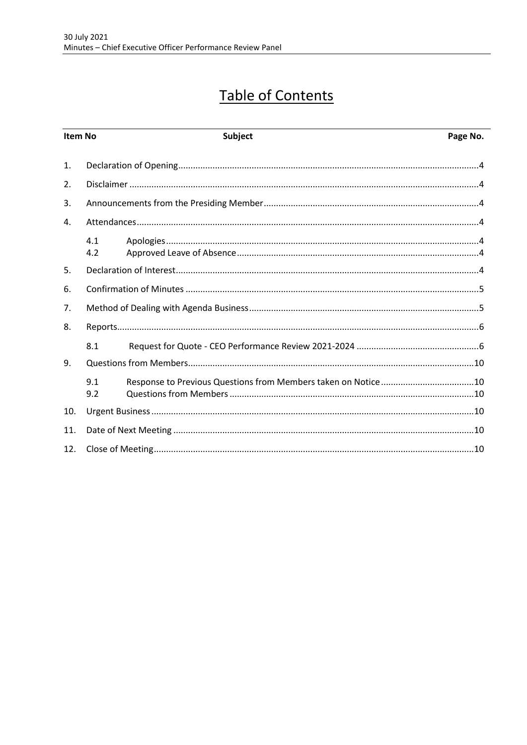# **Table of Contents**

| Item No        |            | <b>Subject</b> | Page No. |  |
|----------------|------------|----------------|----------|--|
| $\mathbf{1}$ . |            |                |          |  |
| 2.             |            |                |          |  |
| 3.             |            |                |          |  |
| 4.             |            |                |          |  |
|                | 4.1<br>4.2 |                |          |  |
| 5.             |            |                |          |  |
| 6.             |            |                |          |  |
| 7.             |            |                |          |  |
| 8.             |            |                |          |  |
|                | 8.1        |                |          |  |
| 9.             |            |                |          |  |
|                | 9.1<br>9.2 |                |          |  |
| 10.            |            |                |          |  |
| 11.            |            |                |          |  |
| 12.            |            |                |          |  |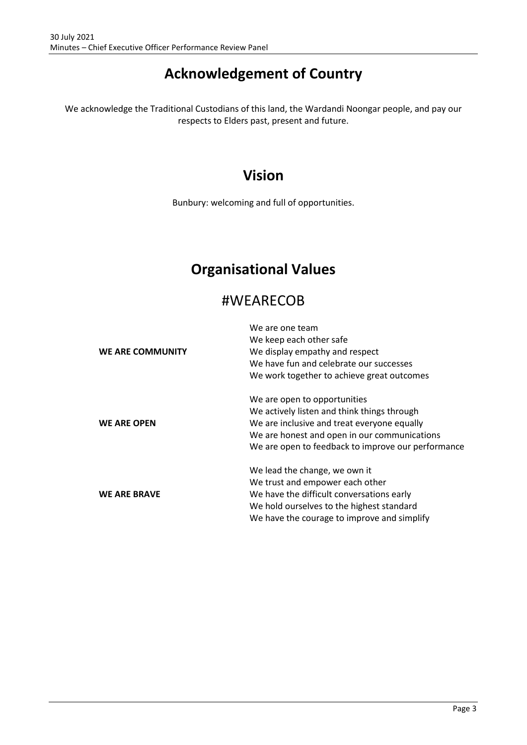# **Acknowledgement of Country**

We acknowledge the Traditional Custodians of this land, the Wardandi Noongar people, and pay our respects to Elders past, present and future.

# **Vision**

Bunbury: welcoming and full of opportunities.

# **Organisational Values**

# #WEARECOB

|                         | We are one team                                    |
|-------------------------|----------------------------------------------------|
|                         | We keep each other safe                            |
| <b>WE ARE COMMUNITY</b> | We display empathy and respect                     |
|                         | We have fun and celebrate our successes            |
|                         | We work together to achieve great outcomes         |
|                         | We are open to opportunities                       |
|                         | We actively listen and think things through        |
| <b>WE ARE OPEN</b>      | We are inclusive and treat everyone equally        |
|                         | We are honest and open in our communications       |
|                         | We are open to feedback to improve our performance |
|                         | We lead the change, we own it                      |
|                         | We trust and empower each other                    |
| <b>WE ARE BRAVE</b>     | We have the difficult conversations early          |
|                         | We hold ourselves to the highest standard          |
|                         | We have the courage to improve and simplify        |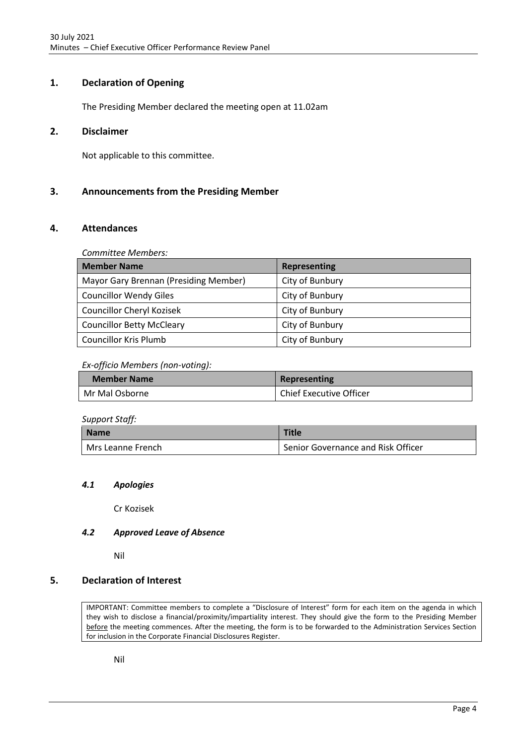# <span id="page-3-0"></span>**1. Declaration of Opening**

The Presiding Member declared the meeting open at 11.02am

# <span id="page-3-1"></span>**2. Disclaimer**

Not applicable to this committee.

## <span id="page-3-2"></span>**3. Announcements from the Presiding Member**

## <span id="page-3-3"></span>**4. Attendances**

*Committee Members:*

| <b>Member Name</b>                    | <b>Representing</b> |
|---------------------------------------|---------------------|
| Mayor Gary Brennan (Presiding Member) | City of Bunbury     |
| <b>Councillor Wendy Giles</b>         | City of Bunbury     |
| Councillor Cheryl Kozisek             | City of Bunbury     |
| <b>Councillor Betty McCleary</b>      | City of Bunbury     |
| <b>Councillor Kris Plumb</b>          | City of Bunbury     |

### *Ex-officio Members (non-voting):*

| <b>Member Name</b> | Representing            |
|--------------------|-------------------------|
| Mr Mal Osborne     | Chief Executive Officer |

| Support Staff:    |                                    |  |
|-------------------|------------------------------------|--|
| <b>Name</b>       | <b>Title</b>                       |  |
| Mrs Leanne French | Senior Governance and Risk Officer |  |

### <span id="page-3-4"></span>*4.1 Apologies*

Cr Kozisek

## <span id="page-3-5"></span>*4.2 Approved Leave of Absence*

Nil

# <span id="page-3-6"></span>**5. Declaration of Interest**

IMPORTANT: Committee members to complete a "Disclosure of Interest" form for each item on the agenda in which they wish to disclose a financial/proximity/impartiality interest. They should give the form to the Presiding Member before the meeting commences. After the meeting, the form is to be forwarded to the Administration Services Section for inclusion in the Corporate Financial Disclosures Register.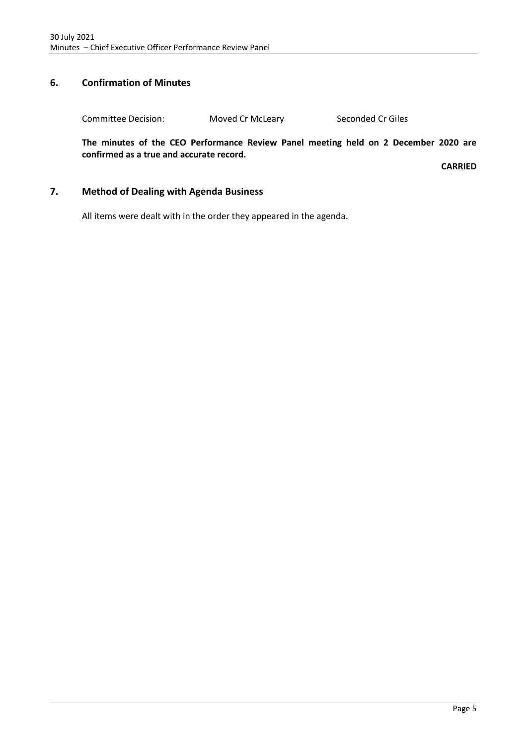# <span id="page-4-0"></span>**6. Confirmation of Minutes**

Committee Decision: Moved Cr McLeary Seconded Cr Giles

**The minutes of the CEO Performance Review Panel meeting held on 2 December 2020 are confirmed as a true and accurate record.**

**CARRIED**

## <span id="page-4-1"></span>**7. Method of Dealing with Agenda Business**

All items were dealt with in the order they appeared in the agenda.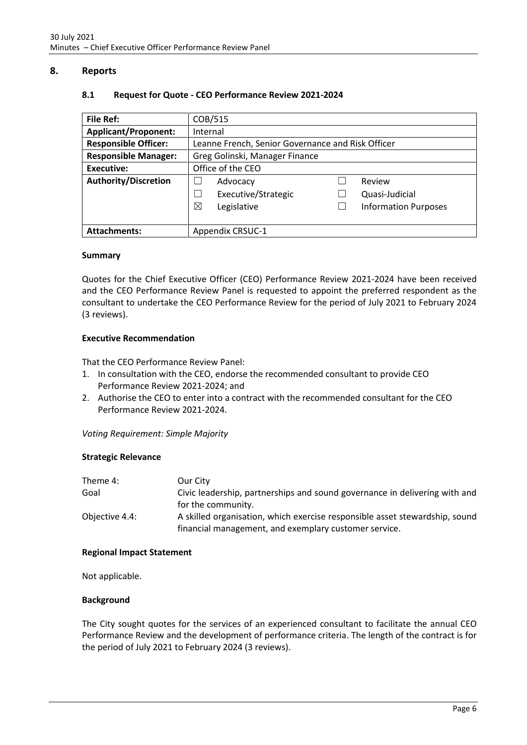## <span id="page-5-1"></span><span id="page-5-0"></span>**8. Reports**

| <b>File Ref:</b>            | COB/515                                           |  |                             |
|-----------------------------|---------------------------------------------------|--|-----------------------------|
| <b>Applicant/Proponent:</b> | Internal                                          |  |                             |
| <b>Responsible Officer:</b> | Leanne French, Senior Governance and Risk Officer |  |                             |
| <b>Responsible Manager:</b> | Greg Golinski, Manager Finance                    |  |                             |
| Executive:                  | Office of the CEO                                 |  |                             |
| <b>Authority/Discretion</b> | Advocacy                                          |  | Review                      |
|                             | Executive/Strategic<br>- 1                        |  | Quasi-Judicial              |
|                             | ⊠<br>Legislative                                  |  | <b>Information Purposes</b> |
|                             |                                                   |  |                             |
| <b>Attachments:</b>         | <b>Appendix CRSUC-1</b>                           |  |                             |

### **8.1 Request for Quote - CEO Performance Review 2021-2024**

### **Summary**

Quotes for the Chief Executive Officer (CEO) Performance Review 2021-2024 have been received and the CEO Performance Review Panel is requested to appoint the preferred respondent as the consultant to undertake the CEO Performance Review for the period of July 2021 to February 2024 (3 reviews).

### **Executive Recommendation**

That the CEO Performance Review Panel:

- 1. In consultation with the CEO, endorse the recommended consultant to provide CEO Performance Review 2021-2024; and
- 2. Authorise the CEO to enter into a contract with the recommended consultant for the CEO Performance Review 2021-2024.

*Voting Requirement: Simple Majority*

### **Strategic Relevance**

| Theme 4:       | Our City                                                                    |
|----------------|-----------------------------------------------------------------------------|
| Goal           | Civic leadership, partnerships and sound governance in delivering with and  |
|                | for the community.                                                          |
| Objective 4.4: | A skilled organisation, which exercise responsible asset stewardship, sound |
|                | financial management, and exemplary customer service.                       |

### **Regional Impact Statement**

Not applicable.

### **Background**

The City sought quotes for the services of an experienced consultant to facilitate the annual CEO Performance Review and the development of performance criteria. The length of the contract is for the period of July 2021 to February 2024 (3 reviews).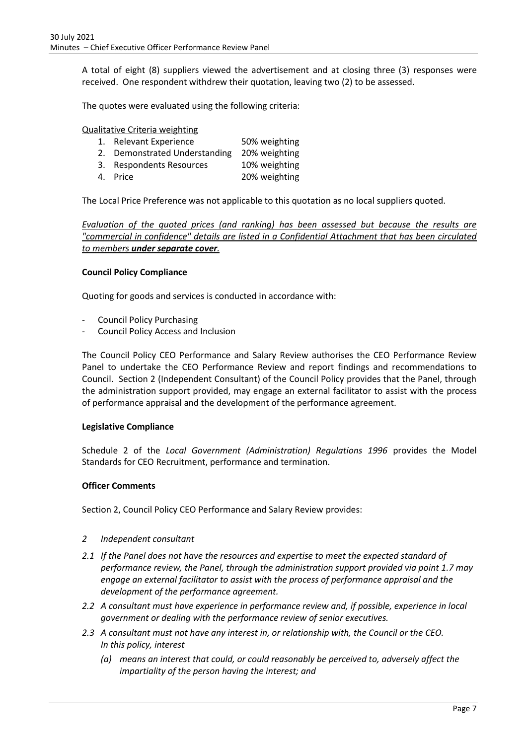A total of eight (8) suppliers viewed the advertisement and at closing three (3) responses were received. One respondent withdrew their quotation, leaving two (2) to be assessed.

The quotes were evaluated using the following criteria:

Qualitative Criteria weighting

- 1. Relevant Experience 50% weighting
- 2. Demonstrated Understanding 20% weighting
- 3. Respondents Resources 10% weighting
- 4. Price 20% weighting

The Local Price Preference was not applicable to this quotation as no local suppliers quoted.

*Evaluation of the quoted prices (and ranking) has been assessed but because the results are "commercial in confidence" details are listed in a Confidential Attachment that has been circulated to members under separate cover.*

### **Council Policy Compliance**

Quoting for goods and services is conducted in accordance with:

- Council Policy Purchasing
- Council Policy Access and Inclusion

The Council Policy CEO Performance and Salary Review authorises the CEO Performance Review Panel to undertake the CEO Performance Review and report findings and recommendations to Council. Section 2 (Independent Consultant) of the Council Policy provides that the Panel, through the administration support provided, may engage an external facilitator to assist with the process of performance appraisal and the development of the performance agreement.

### **Legislative Compliance**

Schedule 2 of the *Local Government (Administration) Regulations 1996* provides the Model Standards for CEO Recruitment, performance and termination.

### **Officer Comments**

Section 2, Council Policy CEO Performance and Salary Review provides:

- *2 Independent consultant*
- *2.1 If the Panel does not have the resources and expertise to meet the expected standard of performance review, the Panel, through the administration support provided via point 1.7 may engage an external facilitator to assist with the process of performance appraisal and the development of the performance agreement.*
- *2.2 A consultant must have experience in performance review and, if possible, experience in local government or dealing with the performance review of senior executives.*
- *2.3 A consultant must not have any interest in, or relationship with, the Council or the CEO. In this policy, interest* 
	- *(a) means an interest that could, or could reasonably be perceived to, adversely affect the impartiality of the person having the interest; and*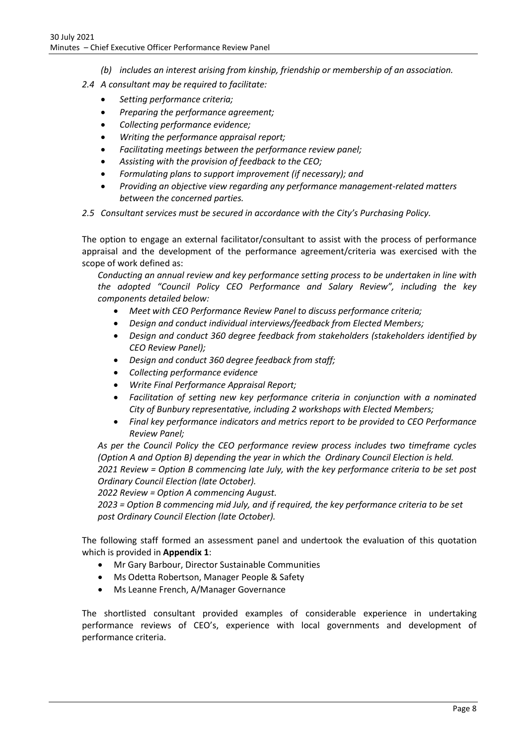- *(b) includes an interest arising from kinship, friendship or membership of an association.*
- *2.4 A consultant may be required to facilitate:*
	- *Setting performance criteria;*
	- *Preparing the performance agreement;*
	- *Collecting performance evidence;*
	- *Writing the performance appraisal report;*
	- *Facilitating meetings between the performance review panel;*
	- *Assisting with the provision of feedback to the CEO;*
	- *Formulating plans to support improvement (if necessary); and*
	- *Providing an objective view regarding any performance management-related matters between the concerned parties.*
- *2.5 Consultant services must be secured in accordance with the City's Purchasing Policy.*

The option to engage an external facilitator/consultant to assist with the process of performance appraisal and the development of the performance agreement/criteria was exercised with the scope of work defined as:

*Conducting an annual review and key performance setting process to be undertaken in line with the adopted "Council Policy CEO Performance and Salary Review", including the key components detailed below:*

- *Meet with CEO Performance Review Panel to discuss performance criteria;*
- *Design and conduct individual interviews/feedback from Elected Members;*
- *Design and conduct 360 degree feedback from stakeholders (stakeholders identified by CEO Review Panel);*
- *Design and conduct 360 degree feedback from staff;*
- *Collecting performance evidence*
- *Write Final Performance Appraisal Report;*
- *Facilitation of setting new key performance criteria in conjunction with a nominated City of Bunbury representative, including 2 workshops with Elected Members;*
- *Final key performance indicators and metrics report to be provided to CEO Performance Review Panel;*

*As per the Council Policy the CEO performance review process includes two timeframe cycles (Option A and Option B) depending the year in which the Ordinary Council Election is held. 2021 Review = Option B commencing late July, with the key performance criteria to be set post Ordinary Council Election (late October).*

*2022 Review = Option A commencing August.*

*2023 = Option B commencing mid July, and if required, the key performance criteria to be set post Ordinary Council Election (late October).*

The following staff formed an assessment panel and undertook the evaluation of this quotation which is provided in **Appendix 1**:

- Mr Gary Barbour, Director Sustainable Communities
- Ms Odetta Robertson, Manager People & Safety
- Ms Leanne French, A/Manager Governance

The shortlisted consultant provided examples of considerable experience in undertaking performance reviews of CEO's, experience with local governments and development of performance criteria.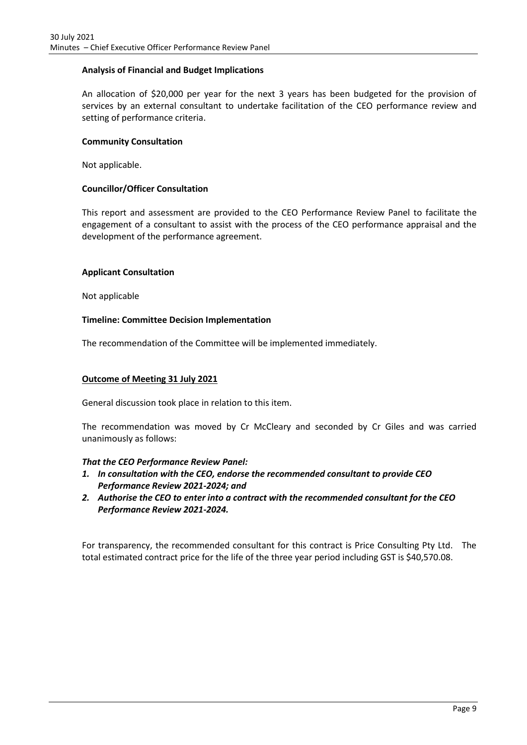## **Analysis of Financial and Budget Implications**

An allocation of \$20,000 per year for the next 3 years has been budgeted for the provision of services by an external consultant to undertake facilitation of the CEO performance review and setting of performance criteria.

### **Community Consultation**

Not applicable.

### **Councillor/Officer Consultation**

This report and assessment are provided to the CEO Performance Review Panel to facilitate the engagement of a consultant to assist with the process of the CEO performance appraisal and the development of the performance agreement.

### **Applicant Consultation**

Not applicable

### **Timeline: Committee Decision Implementation**

The recommendation of the Committee will be implemented immediately.

## **Outcome of Meeting 31 July 2021**

General discussion took place in relation to this item.

The recommendation was moved by Cr McCleary and seconded by Cr Giles and was carried unanimously as follows:

### *That the CEO Performance Review Panel:*

- *1. In consultation with the CEO, endorse the recommended consultant to provide CEO Performance Review 2021-2024; and*
- *2. Authorise the CEO to enter into a contract with the recommended consultant for the CEO Performance Review 2021-2024.*

For transparency, the recommended consultant for this contract is Price Consulting Pty Ltd. The total estimated contract price for the life of the three year period including GST is \$40,570.08.